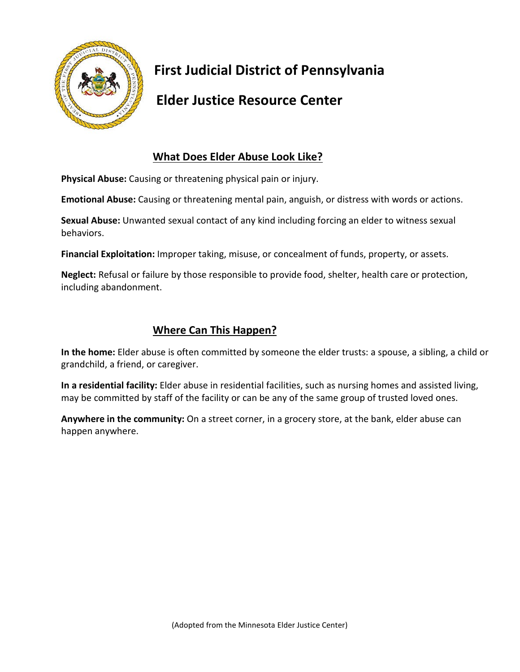

## **First Judicial District of Pennsylvania**

## **Elder Justice Resource Center**

### **What Does Elder Abuse Look Like?**

**Physical Abuse:** Causing or threatening physical pain or injury.

**Emotional Abuse:** Causing or threatening mental pain, anguish, or distress with words or actions.

**Sexual Abuse:** Unwanted sexual contact of any kind including forcing an elder to witness sexual behaviors.

**Financial Exploitation:** Improper taking, misuse, or concealment of funds, property, or assets.

**Neglect:** Refusal or failure by those responsible to provide food, shelter, health care or protection, including abandonment.

#### **Where Can This Happen?**

**In the home:** Elder abuse is often committed by someone the elder trusts: a spouse, a sibling, a child or grandchild, a friend, or caregiver.

**In a residential facility:** Elder abuse in residential facilities, such as nursing homes and assisted living, may be committed by staff of the facility or can be any of the same group of trusted loved ones.

**Anywhere in the community:** On a street corner, in a grocery store, at the bank, elder abuse can happen anywhere.